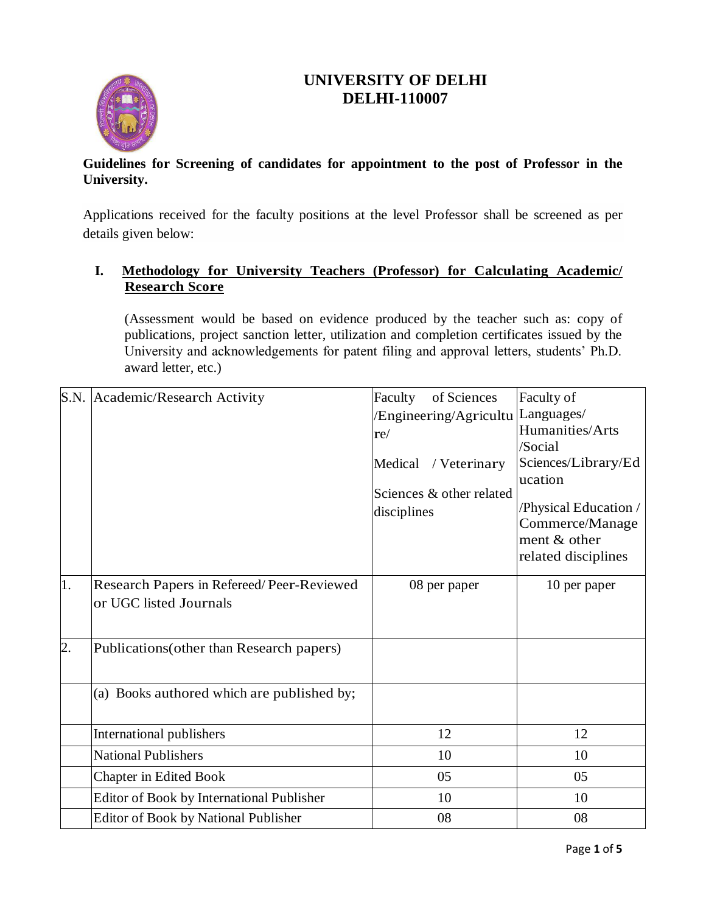# **UNIVERSITY OF DELHI DELHI-110007**



### **Guidelines for Screening of candidates for appointment to the post of Professor in the University.**

Applications received for the faculty positions at the level Professor shall be screened as per details given below:

## **I. Methodology for University Teachers (Professor) for Calculating Academic/ Research Score**

(Assessment would be based on evidence produced by the teacher such as: copy of publications, project sanction letter, utilization and completion certificates issued by the University and acknowledgements for patent filing and approval letters, students' Ph.D. award letter, etc.)

|                  | S.N. Academic/Research Activity            | of Sciences<br>Faculty            | Faculty of            |
|------------------|--------------------------------------------|-----------------------------------|-----------------------|
|                  |                                            | /Engineering/Agricultu Languages/ |                       |
|                  |                                            | re/                               | Humanities/Arts       |
|                  |                                            |                                   | /Social               |
|                  |                                            | / Veterinary<br>Medical           | Sciences/Library/Ed   |
|                  |                                            | Sciences & other related          | ucation               |
|                  |                                            |                                   | /Physical Education / |
|                  |                                            | disciplines                       | Commerce/Manage       |
|                  |                                            |                                   | ment & other          |
|                  |                                            |                                   | related disciplines   |
| 1.               | Research Papers in Refereed/Peer-Reviewed  | 08 per paper                      | 10 per paper          |
|                  | or UGC listed Journals                     |                                   |                       |
|                  |                                            |                                   |                       |
| $\overline{2}$ . | Publications (other than Research papers)  |                                   |                       |
|                  |                                            |                                   |                       |
|                  | (a) Books authored which are published by; |                                   |                       |
|                  |                                            |                                   |                       |
|                  | International publishers                   | 12                                | 12                    |
|                  | <b>National Publishers</b>                 | 10                                | 10                    |
|                  | <b>Chapter in Edited Book</b>              | 05                                | 05                    |
|                  | Editor of Book by International Publisher  | 10                                | 10                    |
|                  | Editor of Book by National Publisher       | 08                                | 08                    |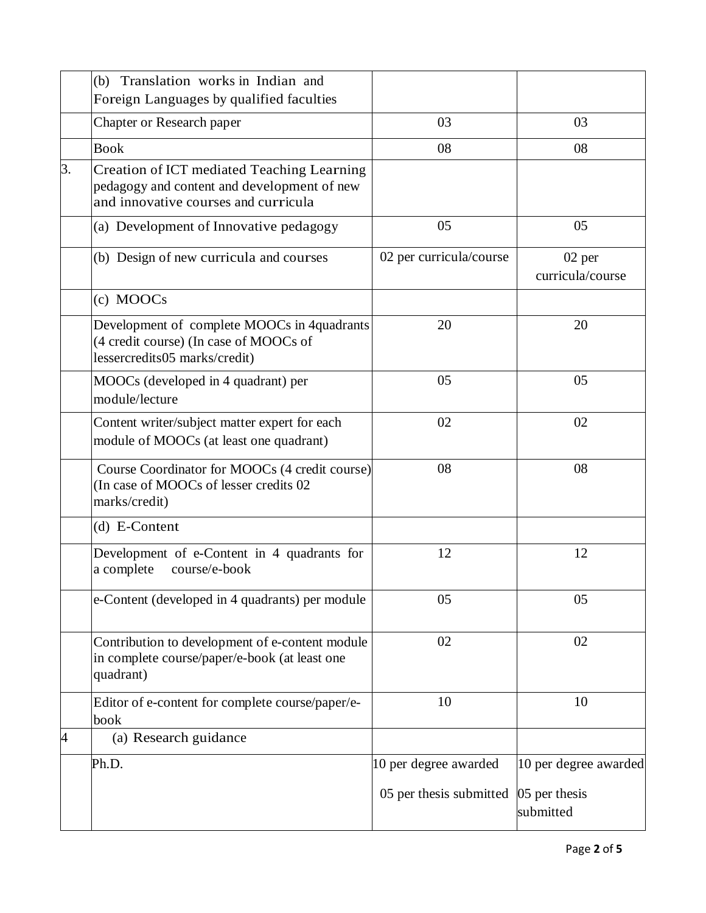|    | (b) Translation works in Indian and                                                                                               |                         |                              |
|----|-----------------------------------------------------------------------------------------------------------------------------------|-------------------------|------------------------------|
|    | Foreign Languages by qualified faculties                                                                                          |                         |                              |
|    | Chapter or Research paper                                                                                                         | 03                      | 03                           |
|    | <b>Book</b>                                                                                                                       | 08                      | 08                           |
| 3. | Creation of ICT mediated Teaching Learning<br>pedagogy and content and development of new<br>and innovative courses and curricula |                         |                              |
|    | (a) Development of Innovative pedagogy                                                                                            | 05                      | 05                           |
|    | (b) Design of new curricula and courses                                                                                           | 02 per curricula/course | $02$ per<br>curricula/course |
|    | (c) MOOCs                                                                                                                         |                         |                              |
|    | Development of complete MOOCs in 4quadrants<br>(4 credit course) (In case of MOOCs of<br>lessercredits05 marks/credit)            | 20                      | 20                           |
|    | MOOCs (developed in 4 quadrant) per<br>module/lecture                                                                             | 05                      | 05                           |
|    | Content writer/subject matter expert for each<br>module of MOOCs (at least one quadrant)                                          | 02                      | 02                           |
|    | Course Coordinator for MOOCs (4 credit course)<br>(In case of MOOCs of lesser credits 02)<br>marks/credit)                        | 08                      | 08                           |
|    | (d) E-Content                                                                                                                     |                         |                              |
|    | Development of e-Content in 4 quadrants for<br>a complete<br>course/e-book                                                        | 12                      | 12                           |
|    | e-Content (developed in 4 quadrants) per module                                                                                   | 05                      | 05                           |
|    | Contribution to development of e-content module<br>in complete course/paper/e-book (at least one<br>quadrant)                     | 02                      | 02                           |
|    | Editor of e-content for complete course/paper/e-<br>book                                                                          | 10                      | 10                           |
| 4  | (a) Research guidance                                                                                                             |                         |                              |
|    | Ph.D.                                                                                                                             | 10 per degree awarded   | 10 per degree awarded        |
|    |                                                                                                                                   | 05 per thesis submitted | 05 per thesis<br>submitted   |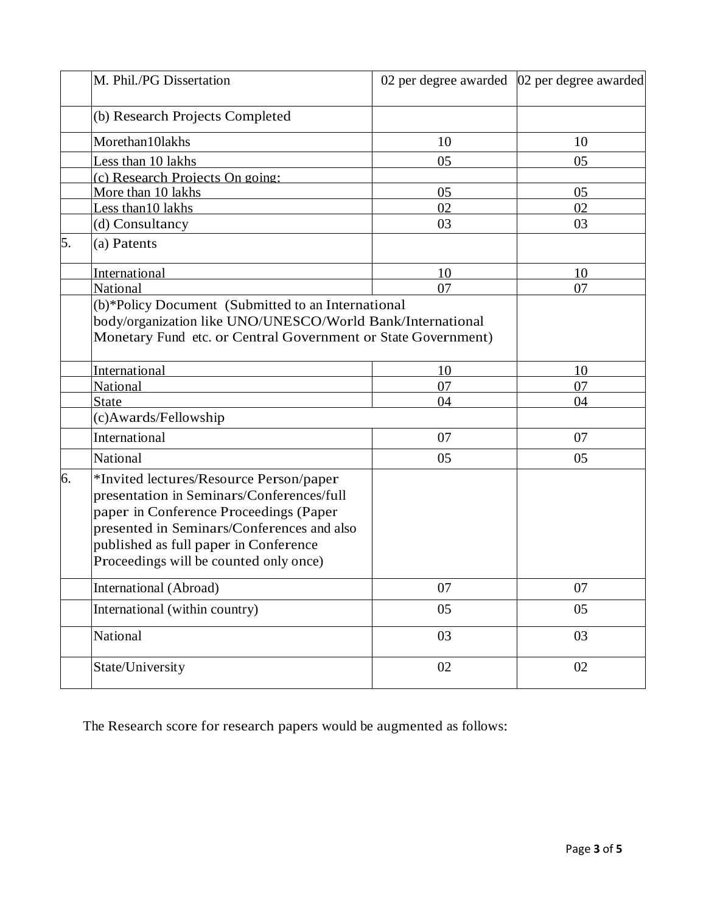|    | M. Phil./PG Dissertation                                                                                                                                                                                                                                        | 02 per degree awarded 02 per degree awarded |    |
|----|-----------------------------------------------------------------------------------------------------------------------------------------------------------------------------------------------------------------------------------------------------------------|---------------------------------------------|----|
|    | (b) Research Projects Completed                                                                                                                                                                                                                                 |                                             |    |
|    | Morethan10lakhs                                                                                                                                                                                                                                                 | 10                                          | 10 |
|    | Less than 10 lakhs                                                                                                                                                                                                                                              | 05                                          | 05 |
|    | (c) Research Projects On going:                                                                                                                                                                                                                                 |                                             |    |
|    | More than 10 lakhs                                                                                                                                                                                                                                              | 05                                          | 05 |
|    | Less than 10 lakhs                                                                                                                                                                                                                                              | 02                                          | 02 |
|    | (d) Consultancy                                                                                                                                                                                                                                                 | 03                                          | 03 |
| 5. | (a) Patents                                                                                                                                                                                                                                                     |                                             |    |
|    | International                                                                                                                                                                                                                                                   | 10                                          | 10 |
|    | National                                                                                                                                                                                                                                                        | 07                                          | 07 |
|    | (b)*Policy Document (Submitted to an International<br>body/organization like UNO/UNESCO/World Bank/International<br>Monetary Fund etc. or Central Government or State Government)                                                                               |                                             |    |
|    | International                                                                                                                                                                                                                                                   | 10                                          | 10 |
|    | National                                                                                                                                                                                                                                                        | 07                                          | 07 |
|    | <b>State</b>                                                                                                                                                                                                                                                    | 04                                          | 04 |
|    | (c)Awards/Fellowship                                                                                                                                                                                                                                            |                                             |    |
|    | International                                                                                                                                                                                                                                                   | 07                                          | 07 |
|    | National                                                                                                                                                                                                                                                        | 05                                          | 05 |
| 6. | *Invited lectures/Resource Person/paper<br>presentation in Seminars/Conferences/full<br>paper in Conference Proceedings (Paper<br>presented in Seminars/Conferences and also<br>published as full paper in Conference<br>Proceedings will be counted only once) |                                             |    |
|    | International (Abroad)                                                                                                                                                                                                                                          | 07                                          | 07 |
|    | International (within country)                                                                                                                                                                                                                                  | 05                                          | 05 |
|    | National                                                                                                                                                                                                                                                        | 03                                          | 03 |
|    | State/University                                                                                                                                                                                                                                                | 02                                          | 02 |

The Research score for research papers would be augmented as follows: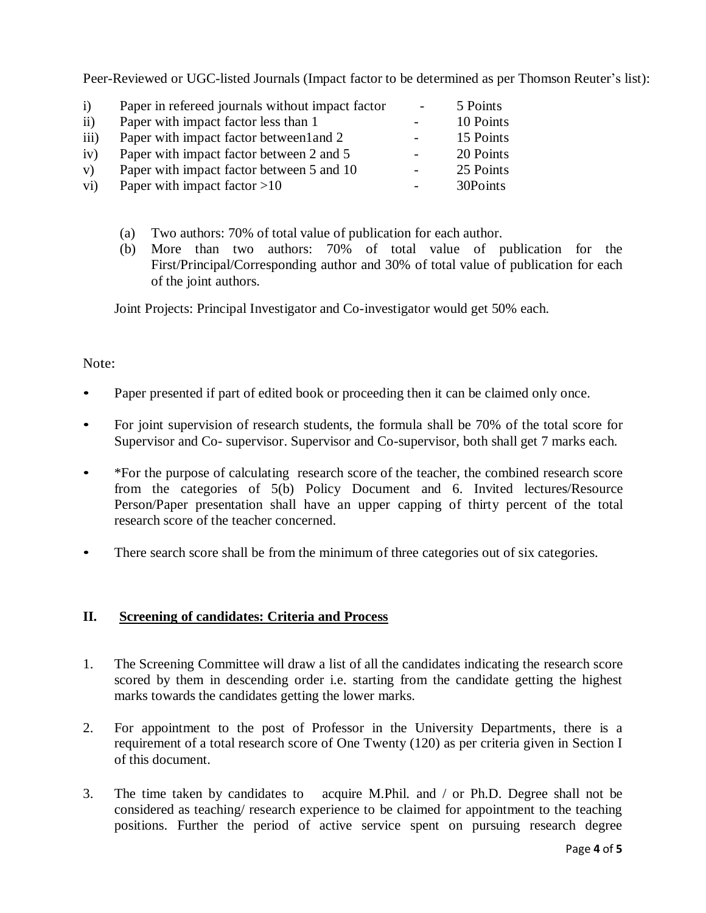Peer-Reviewed or UGC-listed Journals (Impact factor to be determined as per Thomson Reuter's list):

| $\ddot{1}$       | Paper in refereed journals without impact factor | $\overline{\phantom{a}}$ | 5 Points  |
|------------------|--------------------------------------------------|--------------------------|-----------|
| $\rm ii)$        | Paper with impact factor less than 1             | $\overline{a}$           | 10 Points |
| $\overline{iii}$ | Paper with impact factor betweenland 2           | $\overline{\phantom{a}}$ | 15 Points |
| iv)              | Paper with impact factor between 2 and 5         | $\overline{a}$           | 20 Points |
| V)               | Paper with impact factor between 5 and 10        | $\overline{a}$           | 25 Points |
| $\rm vi)$        | Paper with impact factor $>10$                   |                          | 30Points  |

- (a) Two authors: 70% of total value of publication for each author.
- (b) More than two authors: 70% of total value of publication for the First/Principal/Corresponding author and 30% of total value of publication for each of the joint authors.

Joint Projects: Principal Investigator and Co-investigator would get 50% each.

#### Note:

- Paper presented if part of edited book or proceeding then it can be claimed only once.
- For joint supervision of research students, the formula shall be 70% of the total score for Supervisor and Co- supervisor. Supervisor and Co-supervisor, both shall get 7 marks each.
- \*For the purpose of calculating research score of the teacher, the combined research score from the categories of 5(b) Policy Document and 6. Invited lectures/Resource Person/Paper presentation shall have an upper capping of thirty percent of the total research score of the teacher concerned.
- There search score shall be from the minimum of three categories out of six categories.

#### **II. Screening of candidates: Criteria and Process**

- 1. The Screening Committee will draw a list of all the candidates indicating the research score scored by them in descending order i.e. starting from the candidate getting the highest marks towards the candidates getting the lower marks.
- 2. For appointment to the post of Professor in the University Departments, there is a requirement of a total research score of One Twenty (120) as per criteria given in Section I of this document.
- 3. The time taken by candidates to acquire M.Phil. and / or Ph.D. Degree shall not be considered as teaching/ research experience to be claimed for appointment to the teaching positions. Further the period of active service spent on pursuing research degree